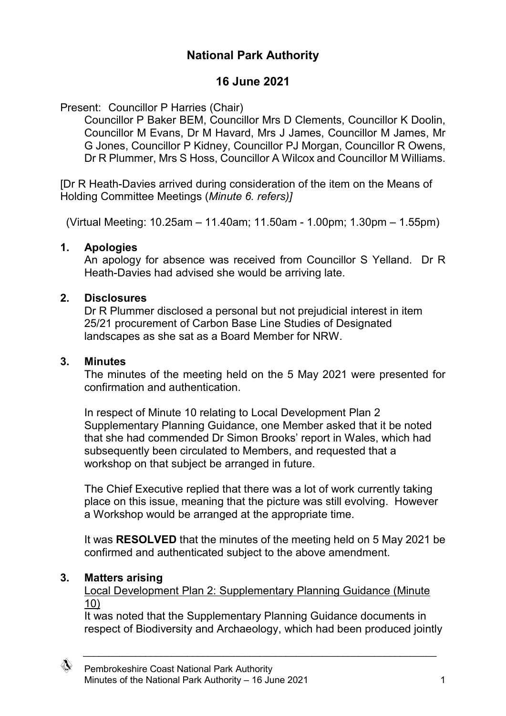# **National Park Authority**

## **16 June 2021**

## Present: Councillor P Harries (Chair)

Councillor P Baker BEM, Councillor Mrs D Clements, Councillor K Doolin, Councillor M Evans, Dr M Havard, Mrs J James, Councillor M James, Mr G Jones, Councillor P Kidney, Councillor PJ Morgan, Councillor R Owens, Dr R Plummer, Mrs S Hoss, Councillor A Wilcox and Councillor M Williams.

[Dr R Heath-Davies arrived during consideration of the item on the Means of Holding Committee Meetings (*Minute 6. refers)]*

(Virtual Meeting: 10.25am – 11.40am; 11.50am - 1.00pm; 1.30pm – 1.55pm)

#### **1. Apologies**

An apology for absence was received from Councillor S Yelland. Dr R Heath-Davies had advised she would be arriving late.

#### **2. Disclosures**

Dr R Plummer disclosed a personal but not prejudicial interest in item 25/21 procurement of Carbon Base Line Studies of Designated landscapes as she sat as a Board Member for NRW.

#### **3. Minutes**

The minutes of the meeting held on the 5 May 2021 were presented for confirmation and authentication.

In respect of Minute 10 relating to Local Development Plan 2 Supplementary Planning Guidance, one Member asked that it be noted that she had commended Dr Simon Brooks' report in Wales, which had subsequently been circulated to Members, and requested that a workshop on that subject be arranged in future.

The Chief Executive replied that there was a lot of work currently taking place on this issue, meaning that the picture was still evolving. However a Workshop would be arranged at the appropriate time.

It was **RESOLVED** that the minutes of the meeting held on 5 May 2021 be confirmed and authenticated subject to the above amendment.

## **3. Matters arising**

Local Development Plan 2: Supplementary Planning Guidance (Minute 10)

It was noted that the Supplementary Planning Guidance documents in respect of Biodiversity and Archaeology, which had been produced jointly

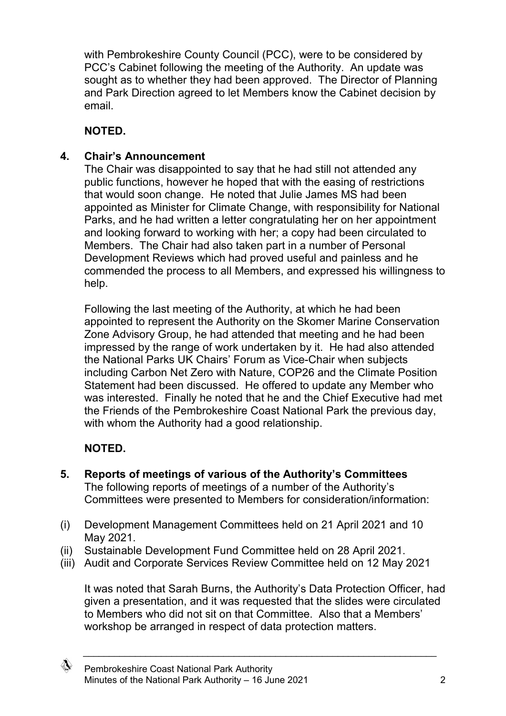with Pembrokeshire County Council (PCC), were to be considered by PCC's Cabinet following the meeting of the Authority. An update was sought as to whether they had been approved. The Director of Planning and Park Direction agreed to let Members know the Cabinet decision by email.

## **NOTED.**

### **4. Chair's Announcement**

The Chair was disappointed to say that he had still not attended any public functions, however he hoped that with the easing of restrictions that would soon change. He noted that Julie James MS had been appointed as Minister for Climate Change, with responsibility for National Parks, and he had written a letter congratulating her on her appointment and looking forward to working with her; a copy had been circulated to Members. The Chair had also taken part in a number of Personal Development Reviews which had proved useful and painless and he commended the process to all Members, and expressed his willingness to help.

Following the last meeting of the Authority, at which he had been appointed to represent the Authority on the Skomer Marine Conservation Zone Advisory Group, he had attended that meeting and he had been impressed by the range of work undertaken by it. He had also attended the National Parks UK Chairs' Forum as Vice-Chair when subjects including Carbon Net Zero with Nature, COP26 and the Climate Position Statement had been discussed. He offered to update any Member who was interested. Finally he noted that he and the Chief Executive had met the Friends of the Pembrokeshire Coast National Park the previous day, with whom the Authority had a good relationship.

## **NOTED.**

- **5. Reports of meetings of various of the Authority's Committees** The following reports of meetings of a number of the Authority's Committees were presented to Members for consideration/information:
- (i) Development Management Committees held on 21 April 2021 and 10 May 2021.
- (ii) Sustainable Development Fund Committee held on 28 April 2021.
- (iii) Audit and Corporate Services Review Committee held on 12 May 2021

It was noted that Sarah Burns, the Authority's Data Protection Officer, had given a presentation, and it was requested that the slides were circulated to Members who did not sit on that Committee. Also that a Members' workshop be arranged in respect of data protection matters.

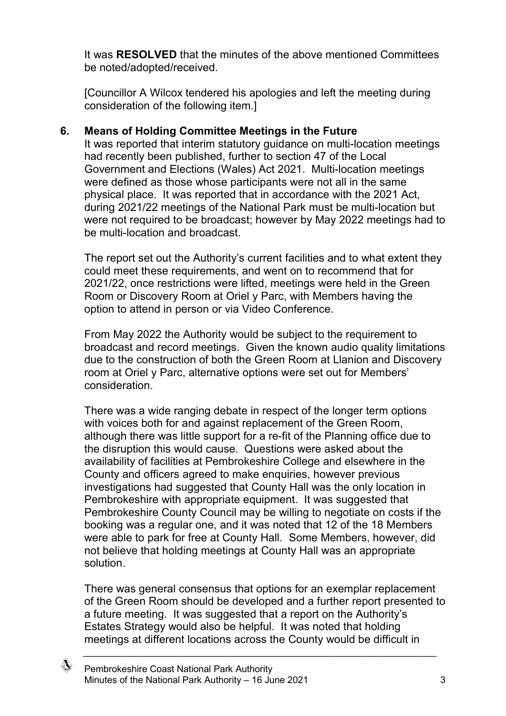It was **RESOLVED** that the minutes of the above mentioned Committees be noted/adopted/received.

[Councillor A Wilcox tendered his apologies and left the meeting during consideration of the following item.]

### **6. Means of Holding Committee Meetings in the Future**

It was reported that interim statutory guidance on multi-location meetings had recently been published, further to section 47 of the Local Government and Elections (Wales) Act 2021. Multi-location meetings were defined as those whose participants were not all in the same physical place. It was reported that in accordance with the 2021 Act, during 2021/22 meetings of the National Park must be multi-location but were not required to be broadcast; however by May 2022 meetings had to be multi-location and broadcast.

The report set out the Authority's current facilities and to what extent they could meet these requirements, and went on to recommend that for 2021/22, once restrictions were lifted, meetings were held in the Green Room or Discovery Room at Oriel y Parc, with Members having the option to attend in person or via Video Conference.

From May 2022 the Authority would be subject to the requirement to broadcast and record meetings. Given the known audio quality limitations due to the construction of both the Green Room at Llanion and Discovery room at Oriel y Parc, alternative options were set out for Members' consideration.

There was a wide ranging debate in respect of the longer term options with voices both for and against replacement of the Green Room, although there was little support for a re-fit of the Planning office due to the disruption this would cause. Questions were asked about the availability of facilities at Pembrokeshire College and elsewhere in the County and officers agreed to make enquiries, however previous investigations had suggested that County Hall was the only location in Pembrokeshire with appropriate equipment. It was suggested that Pembrokeshire County Council may be willing to negotiate on costs if the booking was a regular one, and it was noted that 12 of the 18 Members were able to park for free at County Hall. Some Members, however, did not believe that holding meetings at County Hall was an appropriate solution.

There was general consensus that options for an exemplar replacement of the Green Room should be developed and a further report presented to a future meeting. It was suggested that a report on the Authority's Estates Strategy would also be helpful. It was noted that holding meetings at different locations across the County would be difficult in

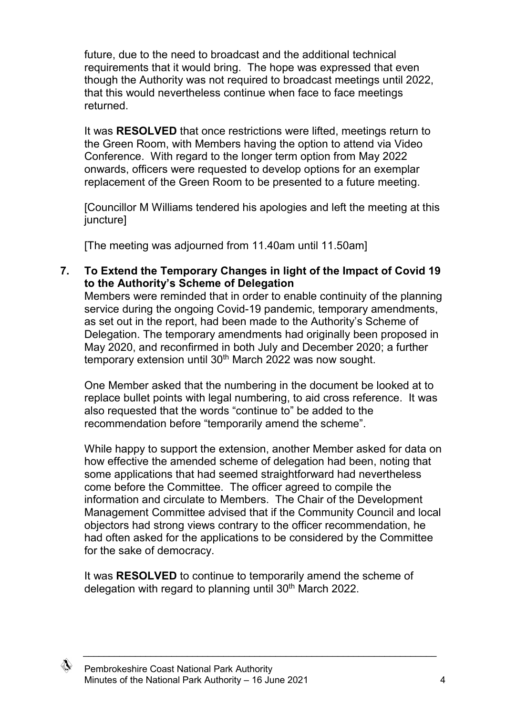future, due to the need to broadcast and the additional technical requirements that it would bring. The hope was expressed that even though the Authority was not required to broadcast meetings until 2022, that this would nevertheless continue when face to face meetings returned.

It was **RESOLVED** that once restrictions were lifted, meetings return to the Green Room, with Members having the option to attend via Video Conference. With regard to the longer term option from May 2022 onwards, officers were requested to develop options for an exemplar replacement of the Green Room to be presented to a future meeting.

[Councillor M Williams tendered his apologies and left the meeting at this juncture]

[The meeting was adjourned from 11.40am until 11.50am]

**7. To Extend the Temporary Changes in light of the Impact of Covid 19 to the Authority's Scheme of Delegation**

Members were reminded that in order to enable continuity of the planning service during the ongoing Covid-19 pandemic, temporary amendments, as set out in the report, had been made to the Authority's Scheme of Delegation. The temporary amendments had originally been proposed in May 2020, and reconfirmed in both July and December 2020; a further temporary extension until 30<sup>th</sup> March 2022 was now sought.

One Member asked that the numbering in the document be looked at to replace bullet points with legal numbering, to aid cross reference. It was also requested that the words "continue to" be added to the recommendation before "temporarily amend the scheme".

While happy to support the extension, another Member asked for data on how effective the amended scheme of delegation had been, noting that some applications that had seemed straightforward had nevertheless come before the Committee. The officer agreed to compile the information and circulate to Members. The Chair of the Development Management Committee advised that if the Community Council and local objectors had strong views contrary to the officer recommendation, he had often asked for the applications to be considered by the Committee for the sake of democracy.

It was **RESOLVED** to continue to temporarily amend the scheme of delegation with regard to planning until 30<sup>th</sup> March 2022.

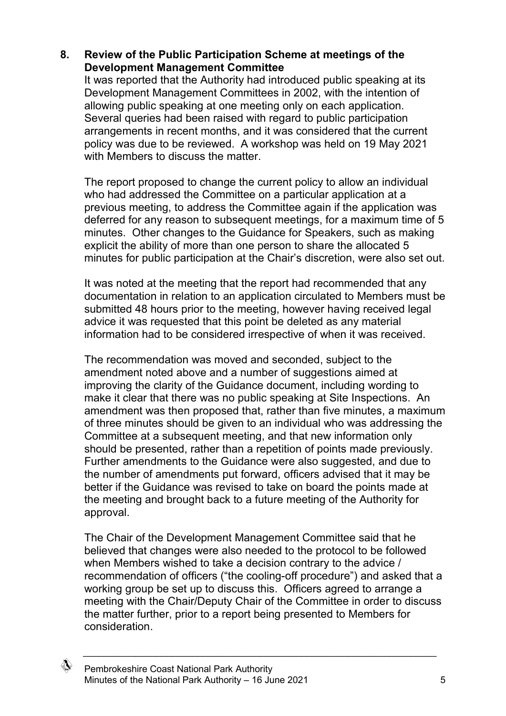#### **8. Review of the Public Participation Scheme at meetings of the Development Management Committee**

It was reported that the Authority had introduced public speaking at its Development Management Committees in 2002, with the intention of allowing public speaking at one meeting only on each application. Several queries had been raised with regard to public participation arrangements in recent months, and it was considered that the current policy was due to be reviewed. A workshop was held on 19 May 2021 with Members to discuss the matter.

The report proposed to change the current policy to allow an individual who had addressed the Committee on a particular application at a previous meeting, to address the Committee again if the application was deferred for any reason to subsequent meetings, for a maximum time of 5 minutes. Other changes to the Guidance for Speakers, such as making explicit the ability of more than one person to share the allocated 5 minutes for public participation at the Chair's discretion, were also set out.

It was noted at the meeting that the report had recommended that any documentation in relation to an application circulated to Members must be submitted 48 hours prior to the meeting, however having received legal advice it was requested that this point be deleted as any material information had to be considered irrespective of when it was received.

The recommendation was moved and seconded, subject to the amendment noted above and a number of suggestions aimed at improving the clarity of the Guidance document, including wording to make it clear that there was no public speaking at Site Inspections. An amendment was then proposed that, rather than five minutes, a maximum of three minutes should be given to an individual who was addressing the Committee at a subsequent meeting, and that new information only should be presented, rather than a repetition of points made previously. Further amendments to the Guidance were also suggested, and due to the number of amendments put forward, officers advised that it may be better if the Guidance was revised to take on board the points made at the meeting and brought back to a future meeting of the Authority for approval.

The Chair of the Development Management Committee said that he believed that changes were also needed to the protocol to be followed when Members wished to take a decision contrary to the advice / recommendation of officers ("the cooling-off procedure") and asked that a working group be set up to discuss this. Officers agreed to arrange a meeting with the Chair/Deputy Chair of the Committee in order to discuss the matter further, prior to a report being presented to Members for consideration.

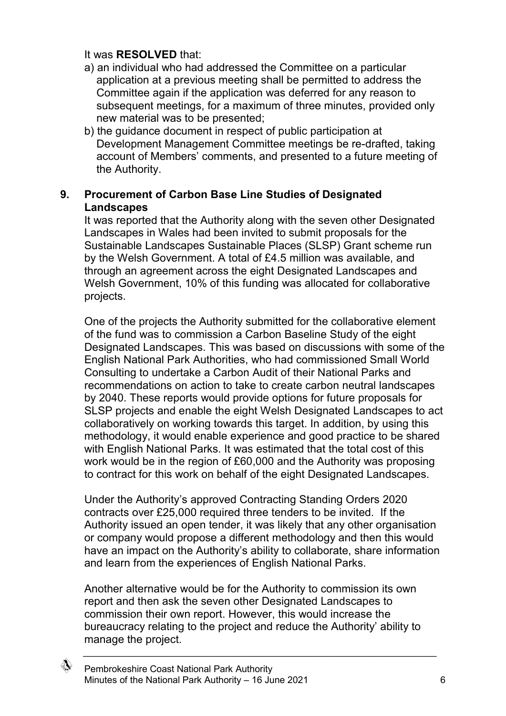#### It was **RESOLVED** that:

- a) an individual who had addressed the Committee on a particular application at a previous meeting shall be permitted to address the Committee again if the application was deferred for any reason to subsequent meetings, for a maximum of three minutes, provided only new material was to be presented;
- b) the guidance document in respect of public participation at Development Management Committee meetings be re-drafted, taking account of Members' comments, and presented to a future meeting of the Authority.

#### **9. Procurement of Carbon Base Line Studies of Designated Landscapes**

It was reported that the Authority along with the seven other Designated Landscapes in Wales had been invited to submit proposals for the Sustainable Landscapes Sustainable Places (SLSP) Grant scheme run by the Welsh Government. A total of £4.5 million was available, and through an agreement across the eight Designated Landscapes and Welsh Government, 10% of this funding was allocated for collaborative projects.

One of the projects the Authority submitted for the collaborative element of the fund was to commission a Carbon Baseline Study of the eight Designated Landscapes. This was based on discussions with some of the English National Park Authorities, who had commissioned Small World Consulting to undertake a Carbon Audit of their National Parks and recommendations on action to take to create carbon neutral landscapes by 2040. These reports would provide options for future proposals for SLSP projects and enable the eight Welsh Designated Landscapes to act collaboratively on working towards this target. In addition, by using this methodology, it would enable experience and good practice to be shared with English National Parks. It was estimated that the total cost of this work would be in the region of £60,000 and the Authority was proposing to contract for this work on behalf of the eight Designated Landscapes.

Under the Authority's approved Contracting Standing Orders 2020 contracts over £25,000 required three tenders to be invited. If the Authority issued an open tender, it was likely that any other organisation or company would propose a different methodology and then this would have an impact on the Authority's ability to collaborate, share information and learn from the experiences of English National Parks.

Another alternative would be for the Authority to commission its own report and then ask the seven other Designated Landscapes to commission their own report. However, this would increase the bureaucracy relating to the project and reduce the Authority' ability to manage the project.

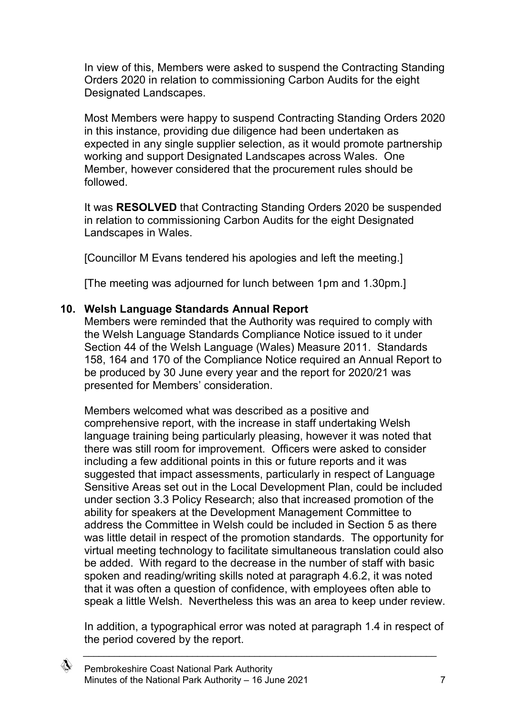In view of this, Members were asked to suspend the Contracting Standing Orders 2020 in relation to commissioning Carbon Audits for the eight Designated Landscapes.

Most Members were happy to suspend Contracting Standing Orders 2020 in this instance, providing due diligence had been undertaken as expected in any single supplier selection, as it would promote partnership working and support Designated Landscapes across Wales. One Member, however considered that the procurement rules should be followed.

It was **RESOLVED** that Contracting Standing Orders 2020 be suspended in relation to commissioning Carbon Audits for the eight Designated Landscapes in Wales.

[Councillor M Evans tendered his apologies and left the meeting.]

[The meeting was adjourned for lunch between 1pm and 1.30pm.]

#### **10. Welsh Language Standards Annual Report**

Members were reminded that the Authority was required to comply with the Welsh Language Standards Compliance Notice issued to it under Section 44 of the Welsh Language (Wales) Measure 2011. Standards 158, 164 and 170 of the Compliance Notice required an Annual Report to be produced by 30 June every year and the report for 2020/21 was presented for Members' consideration.

Members welcomed what was described as a positive and comprehensive report, with the increase in staff undertaking Welsh language training being particularly pleasing, however it was noted that there was still room for improvement. Officers were asked to consider including a few additional points in this or future reports and it was suggested that impact assessments, particularly in respect of Language Sensitive Areas set out in the Local Development Plan, could be included under section 3.3 Policy Research; also that increased promotion of the ability for speakers at the Development Management Committee to address the Committee in Welsh could be included in Section 5 as there was little detail in respect of the promotion standards. The opportunity for virtual meeting technology to facilitate simultaneous translation could also be added. With regard to the decrease in the number of staff with basic spoken and reading/writing skills noted at paragraph 4.6.2, it was noted that it was often a question of confidence, with employees often able to speak a little Welsh. Nevertheless this was an area to keep under review.

In addition, a typographical error was noted at paragraph 1.4 in respect of the period covered by the report.